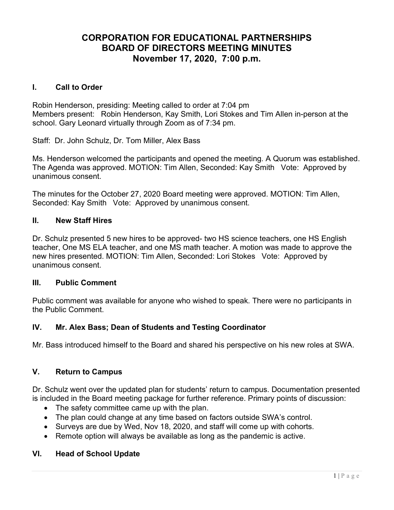# CORPORATION FOR EDUCATIONAL PARTNERSHIPS BOARD OF DIRECTORS MEETING MINUTES November 17, 2020, 7:00 p.m.

#### I. Call to Order

Robin Henderson, presiding: Meeting called to order at 7:04 pm Members present: Robin Henderson, Kay Smith, Lori Stokes and Tim Allen in-person at the school. Gary Leonard virtually through Zoom as of 7:34 pm.

Staff: Dr. John Schulz, Dr. Tom Miller, Alex Bass

Ms. Henderson welcomed the participants and opened the meeting. A Quorum was established. The Agenda was approved. MOTION: Tim Allen, Seconded: Kay Smith Vote: Approved by unanimous consent.

The minutes for the October 27, 2020 Board meeting were approved. MOTION: Tim Allen, Seconded: Kay Smith Vote: Approved by unanimous consent.

#### II. New Staff Hires

Dr. Schulz presented 5 new hires to be approved- two HS science teachers, one HS English teacher, One MS ELA teacher, and one MS math teacher. A motion was made to approve the new hires presented. MOTION: Tim Allen, Seconded: Lori Stokes Vote: Approved by unanimous consent.

#### III. Public Comment

Public comment was available for anyone who wished to speak. There were no participants in the Public Comment.

#### IV. Mr. Alex Bass; Dean of Students and Testing Coordinator

Mr. Bass introduced himself to the Board and shared his perspective on his new roles at SWA.

#### V. Return to Campus

Dr. Schulz went over the updated plan for students' return to campus. Documentation presented is included in the Board meeting package for further reference. Primary points of discussion:

- The safety committee came up with the plan.
- The plan could change at any time based on factors outside SWA's control.
- Surveys are due by Wed, Nov 18, 2020, and staff will come up with cohorts.
- Remote option will always be available as long as the pandemic is active.

#### VI. Head of School Update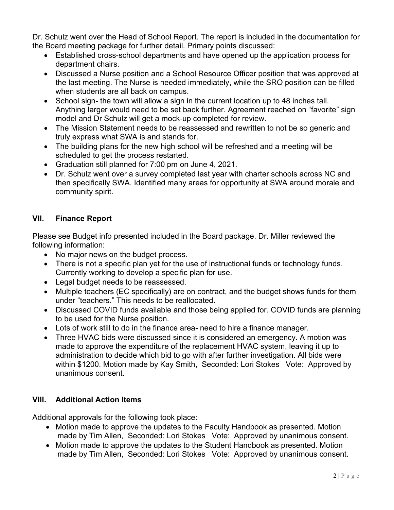Dr. Schulz went over the Head of School Report. The report is included in the documentation for the Board meeting package for further detail. Primary points discussed:

- Established cross-school departments and have opened up the application process for department chairs.
- Discussed a Nurse position and a School Resource Officer position that was approved at the last meeting. The Nurse is needed immediately, while the SRO position can be filled when students are all back on campus.
- School sign- the town will allow a sign in the current location up to 48 inches tall. Anything larger would need to be set back further. Agreement reached on "favorite" sign model and Dr Schulz will get a mock-up completed for review.
- The Mission Statement needs to be reassessed and rewritten to not be so generic and truly express what SWA is and stands for.
- The building plans for the new high school will be refreshed and a meeting will be scheduled to get the process restarted.
- Graduation still planned for 7:00 pm on June 4, 2021.
- Dr. Schulz went over a survey completed last year with charter schools across NC and then specifically SWA. Identified many areas for opportunity at SWA around morale and community spirit.

## VII. Finance Report

Please see Budget info presented included in the Board package. Dr. Miller reviewed the following information:

- No major news on the budget process.
- There is not a specific plan yet for the use of instructional funds or technology funds. Currently working to develop a specific plan for use.
- Legal budget needs to be reassessed.
- Multiple teachers (EC specifically) are on contract, and the budget shows funds for them under "teachers." This needs to be reallocated.
- Discussed COVID funds available and those being applied for. COVID funds are planning to be used for the Nurse position.
- Lots of work still to do in the finance area- need to hire a finance manager.
- Three HVAC bids were discussed since it is considered an emergency. A motion was made to approve the expenditure of the replacement HVAC system, leaving it up to administration to decide which bid to go with after further investigation. All bids were within \$1200. Motion made by Kay Smith, Seconded: Lori Stokes Vote: Approved by unanimous consent.

## VIII. Additional Action Items

Additional approvals for the following took place:

- Motion made to approve the updates to the Faculty Handbook as presented. Motion made by Tim Allen, Seconded: Lori Stokes Vote: Approved by unanimous consent.
- Motion made to approve the updates to the Student Handbook as presented. Motion made by Tim Allen, Seconded: Lori Stokes Vote: Approved by unanimous consent.